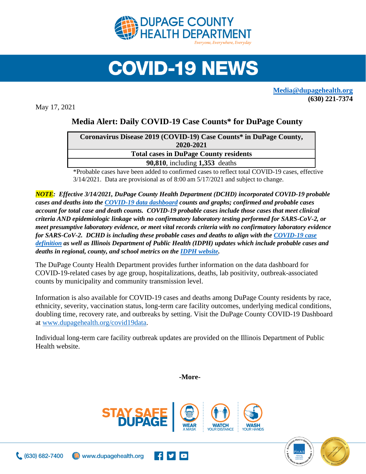

## **COVID-19 NEWS**

**[Media@dupagehealth.org](mailto:Media@dupagehealth.org) (630) 221-7374**

May 17, 2021

## **Media Alert: Daily COVID-19 Case Counts\* for DuPage County**

| Coronavirus Disease 2019 (COVID-19) Case Counts* in DuPage County, |  |
|--------------------------------------------------------------------|--|
| 2020-2021                                                          |  |
| <b>Total cases in DuPage County residents</b>                      |  |
| <b>90,810</b> , including 1,353 deaths                             |  |
|                                                                    |  |

\*Probable cases have been added to confirmed cases to reflect total COVID-19 cases, effective 3/14/2021. Data are provisional as of 8:00 am 5/17/2021 and subject to change.

*NOTE: Effective 3/14/2021, DuPage County Health Department (DCHD) incorporated COVID-19 probable cases and deaths into the [COVID-19 data dashboard](http://www.dupagehealth.org/covid19data) counts and graphs; confirmed and probable cases account for total case and death counts. COVID-19 probable cases include those cases that meet clinical criteria AND epidemiologic linkage with no confirmatory laboratory testing performed for SARS-CoV-2, or meet presumptive laboratory evidence, or meet vital records criteria with no confirmatory laboratory evidence for SARS-CoV-2. DCHD is including these probable cases and deaths to align with the [COVID-19 case](https://wwwn.cdc.gov/nndss/conditions/coronavirus-disease-2019-covid-19/case-definition/2020/08/05/)  [definition](https://wwwn.cdc.gov/nndss/conditions/coronavirus-disease-2019-covid-19/case-definition/2020/08/05/) as well as Illinois Department of Public Health (IDPH) updates which include probable cases and deaths in regional, county, and school metrics on th[e IDPH website.](http://dph.illinois.gov/covid19/covid19-statistics)*

The DuPage County Health Department provides further information on the data dashboard for COVID-19-related cases by age group, hospitalizations, deaths, lab positivity, outbreak-associated counts by municipality and community transmission level.

Information is also available for COVID-19 cases and deaths among DuPage County residents by race, ethnicity, severity, vaccination status, long-term care facility outcomes, underlying medical conditions, doubling time, recovery rate, and outbreaks by setting. Visit the DuPage County COVID-19 Dashboard at [www.dupagehealth.org/covid19data.](http://www.dupagehealth.org/covid19data)

Individual long-term care facility outbreak updates are provided on the Illinois Department of Public Health website.

**-More-**